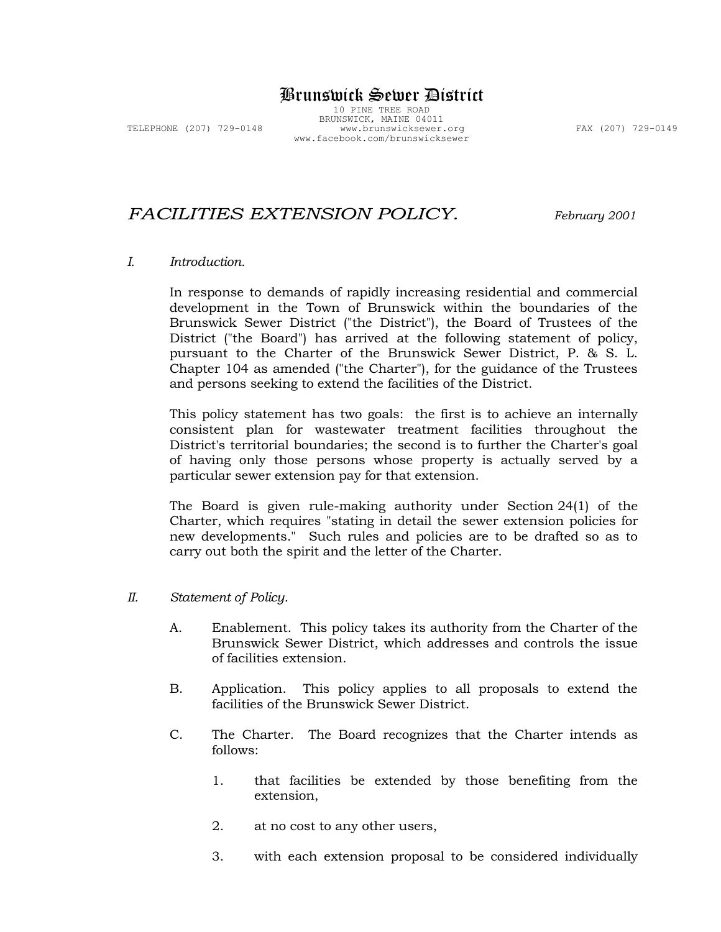# Brunswick Sewer District

10 PINE TREE ROAD BRUNSWICK, MAINE 04011 TELEPHONE (207) 729-0148 www.brunswicksewer.org FAX (207) 729-0149 www.facebook.com/brunswicksewer

# *FACILITIES EXTENSION POLICY. February <sup>2001</sup>*

### *I. Introduction.*

In response to demands of rapidly increasing residential and commercial development in the Town of Brunswick within the boundaries of the Brunswick Sewer District ("the District"), the Board of Trustees of the District ("the Board") has arrived at the following statement of policy, pursuant to the Charter of the Brunswick Sewer District, P. & S. L. Chapter 104 as amended ("the Charter"), for the guidance of the Trustees and persons seeking to extend the facilities of the District.

This policy statement has two goals: the first is to achieve an internally consistent plan for wastewater treatment facilities throughout the District's territorial boundaries; the second is to further the Charter's goal of having only those persons whose property is actually served by a particular sewer extension pay for that extension.

The Board is given rule-making authority under Section 24(1) of the Charter, which requires "stating in detail the sewer extension policies for new developments." Such rules and policies are to be drafted so as to carry out both the spirit and the letter of the Charter.

#### *II. Statement of Policy.*

- A. Enablement. This policy takes its authority from the Charter of the Brunswick Sewer District, which addresses and controls the issue of facilities extension.
- B. Application. This policy applies to all proposals to extend the facilities of the Brunswick Sewer District.
- C. The Charter. The Board recognizes that the Charter intends as follows:
	- 1. that facilities be extended by those benefiting from the extension,
	- 2. at no cost to any other users,
	- 3. with each extension proposal to be considered individually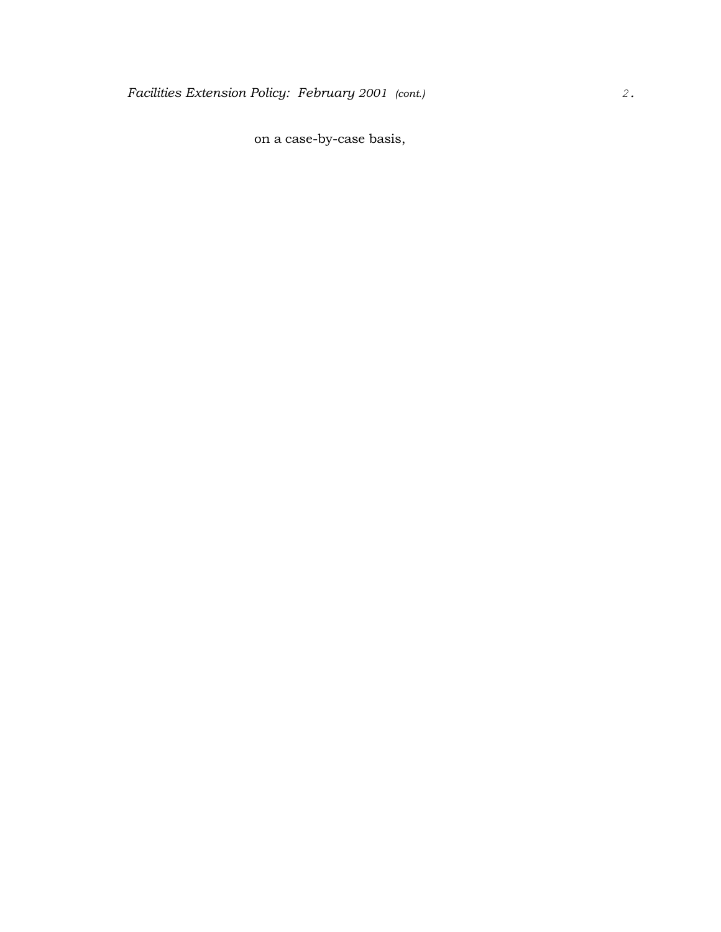on a case-by-case basis,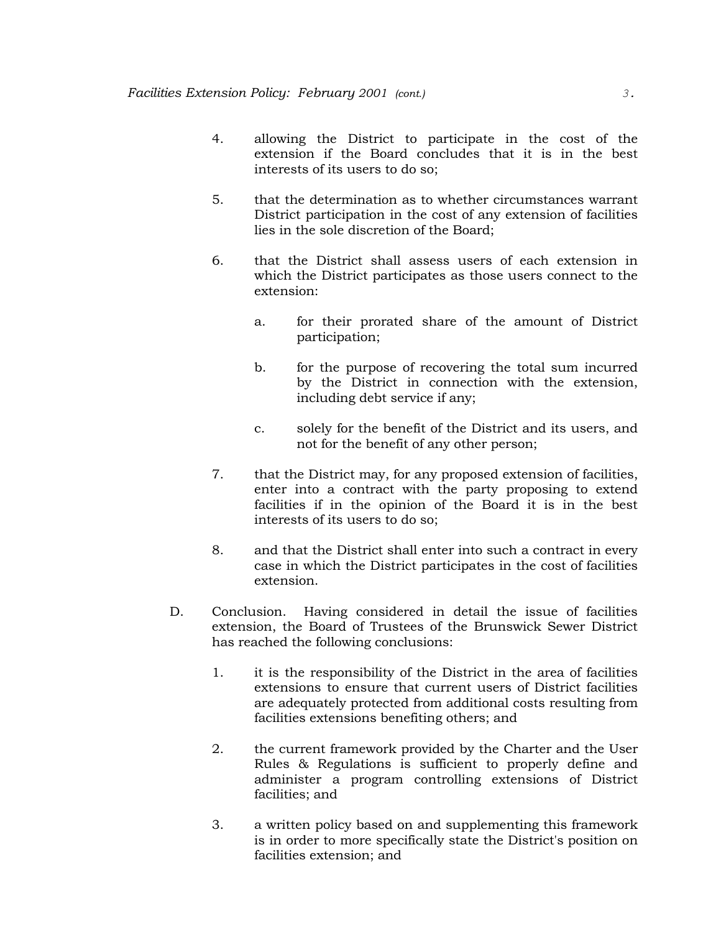- 4. allowing the District to participate in the cost of the extension if the Board concludes that it is in the best interests of its users to do so;
- 5. that the determination as to whether circumstances warrant District participation in the cost of any extension of facilities lies in the sole discretion of the Board;
- 6. that the District shall assess users of each extension in which the District participates as those users connect to the extension:
	- a. for their prorated share of the amount of District participation;
	- b. for the purpose of recovering the total sum incurred by the District in connection with the extension, including debt service if any;
	- c. solely for the benefit of the District and its users, and not for the benefit of any other person;
- 7. that the District may, for any proposed extension of facilities, enter into a contract with the party proposing to extend facilities if in the opinion of the Board it is in the best interests of its users to do so;
- 8. and that the District shall enter into such a contract in every case in which the District participates in the cost of facilities extension.
- D. Conclusion. Having considered in detail the issue of facilities extension, the Board of Trustees of the Brunswick Sewer District has reached the following conclusions:
	- 1. it is the responsibility of the District in the area of facilities extensions to ensure that current users of District facilities are adequately protected from additional costs resulting from facilities extensions benefiting others; and
	- 2. the current framework provided by the Charter and the User Rules & Regulations is sufficient to properly define and administer a program controlling extensions of District facilities; and
	- 3. a written policy based on and supplementing this framework is in order to more specifically state the District's position on facilities extension; and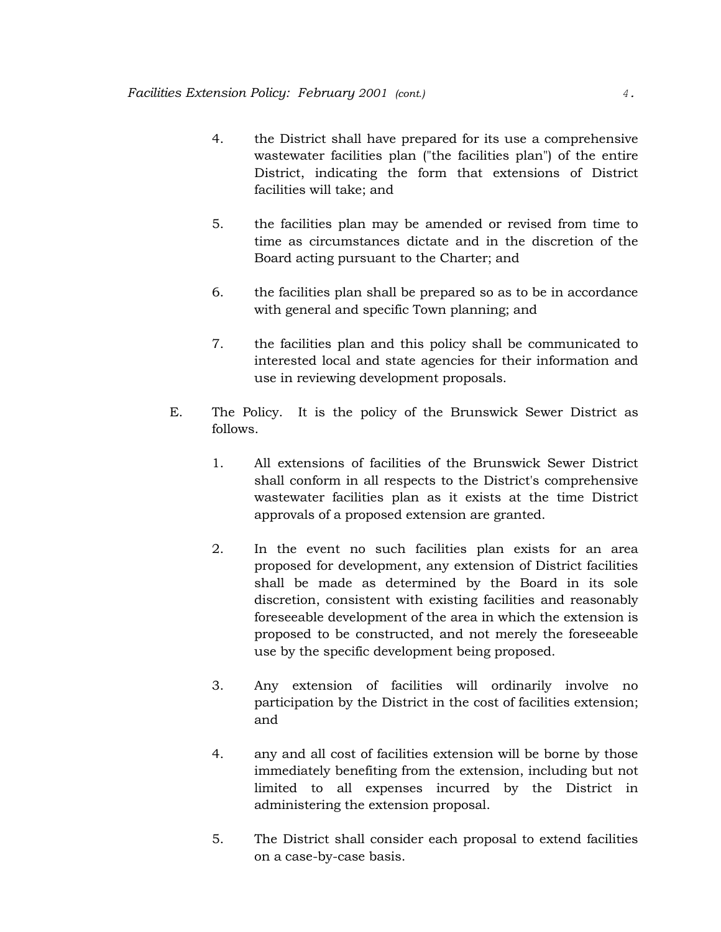- 4. the District shall have prepared for its use a comprehensive wastewater facilities plan ("the facilities plan") of the entire District, indicating the form that extensions of District facilities will take; and
- 5. the facilities plan may be amended or revised from time to time as circumstances dictate and in the discretion of the Board acting pursuant to the Charter; and
- 6. the facilities plan shall be prepared so as to be in accordance with general and specific Town planning; and
- 7. the facilities plan and this policy shall be communicated to interested local and state agencies for their information and use in reviewing development proposals.
- E. The Policy. It is the policy of the Brunswick Sewer District as follows.
	- 1. All extensions of facilities of the Brunswick Sewer District shall conform in all respects to the District's comprehensive wastewater facilities plan as it exists at the time District approvals of a proposed extension are granted.
	- 2. In the event no such facilities plan exists for an area proposed for development, any extension of District facilities shall be made as determined by the Board in its sole discretion, consistent with existing facilities and reasonably foreseeable development of the area in which the extension is proposed to be constructed, and not merely the foreseeable use by the specific development being proposed.
	- 3. Any extension of facilities will ordinarily involve no participation by the District in the cost of facilities extension; and
	- 4. any and all cost of facilities extension will be borne by those immediately benefiting from the extension, including but not limited to all expenses incurred by the District in administering the extension proposal.
	- 5. The District shall consider each proposal to extend facilities on a case-by-case basis.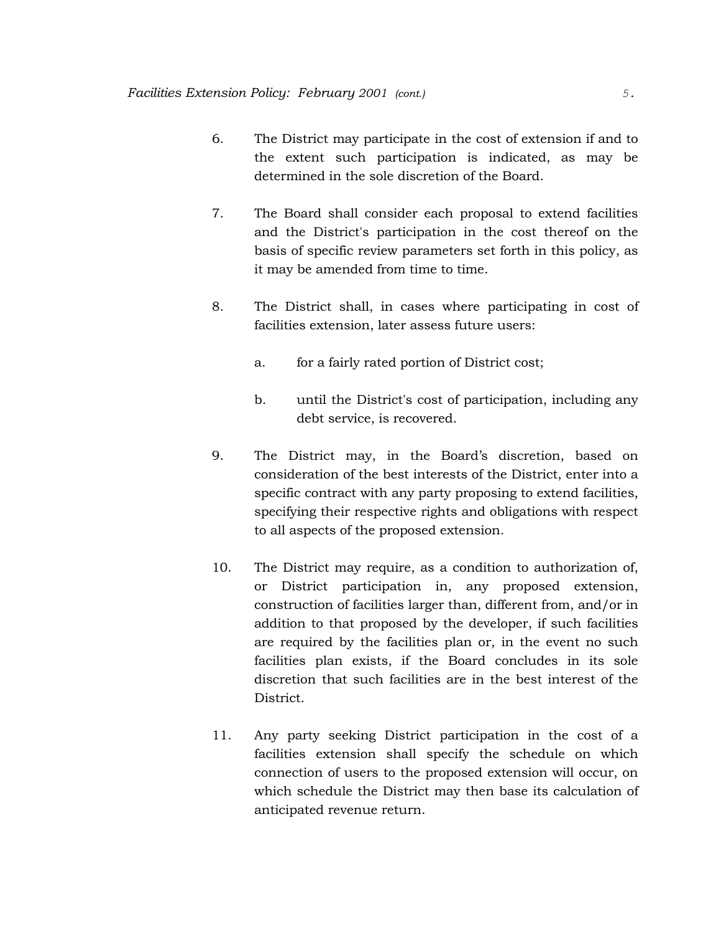- 6. The District may participate in the cost of extension if and to the extent such participation is indicated, as may be determined in the sole discretion of the Board.
- 7. The Board shall consider each proposal to extend facilities and the District's participation in the cost thereof on the basis of specific review parameters set forth in this policy, as it may be amended from time to time.
- 8. The District shall, in cases where participating in cost of facilities extension, later assess future users:
	- a. for a fairly rated portion of District cost;
	- b. until the District's cost of participation, including any debt service, is recovered.
- 9. The District may, in the Board's discretion, based on consideration of the best interests of the District, enter into a specific contract with any party proposing to extend facilities, specifying their respective rights and obligations with respect to all aspects of the proposed extension.
- 10. The District may require, as a condition to authorization of, or District participation in, any proposed extension, construction of facilities larger than, different from, and/or in addition to that proposed by the developer, if such facilities are required by the facilities plan or, in the event no such facilities plan exists, if the Board concludes in its sole discretion that such facilities are in the best interest of the District.
- 11. Any party seeking District participation in the cost of a facilities extension shall specify the schedule on which connection of users to the proposed extension will occur, on which schedule the District may then base its calculation of anticipated revenue return.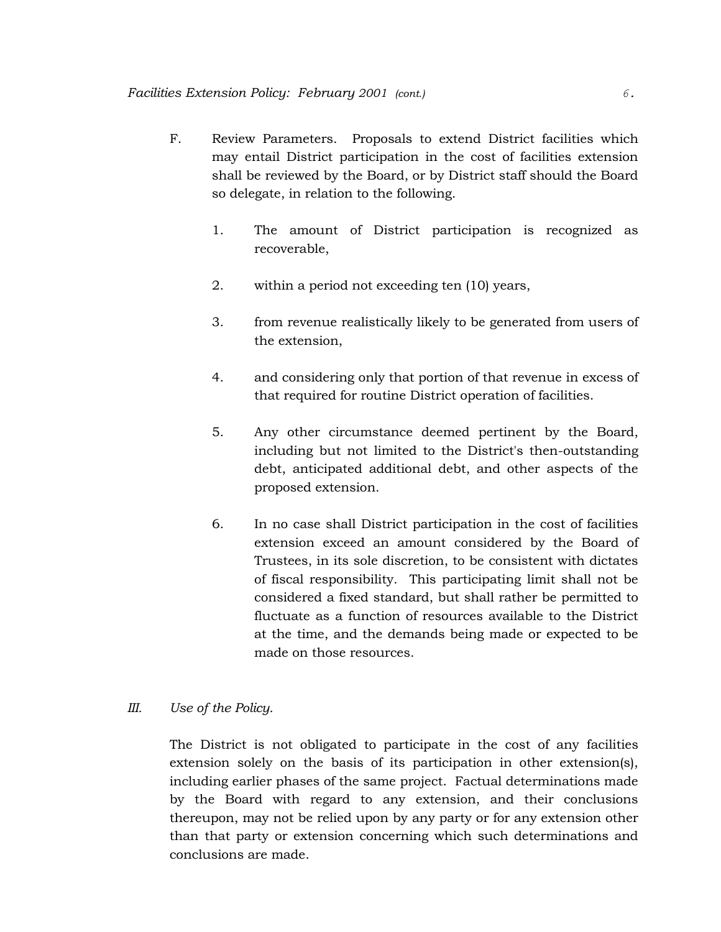- F. Review Parameters. Proposals to extend District facilities which may entail District participation in the cost of facilities extension shall be reviewed by the Board, or by District staff should the Board so delegate, in relation to the following.
	- 1. The amount of District participation is recognized as recoverable,
	- 2. within a period not exceeding ten (10) years,
	- 3. from revenue realistically likely to be generated from users of the extension,
	- 4. and considering only that portion of that revenue in excess of that required for routine District operation of facilities.
	- 5. Any other circumstance deemed pertinent by the Board, including but not limited to the District's then-outstanding debt, anticipated additional debt, and other aspects of the proposed extension.
	- 6. In no case shall District participation in the cost of facilities extension exceed an amount considered by the Board of Trustees, in its sole discretion, to be consistent with dictates of fiscal responsibility. This participating limit shall not be considered a fixed standard, but shall rather be permitted to fluctuate as a function of resources available to the District at the time, and the demands being made or expected to be made on those resources.

## *III. Use of the Policy.*

The District is not obligated to participate in the cost of any facilities extension solely on the basis of its participation in other extension(s), including earlier phases of the same project. Factual determinations made by the Board with regard to any extension, and their conclusions thereupon, may not be relied upon by any party or for any extension other than that party or extension concerning which such determinations and conclusions are made.